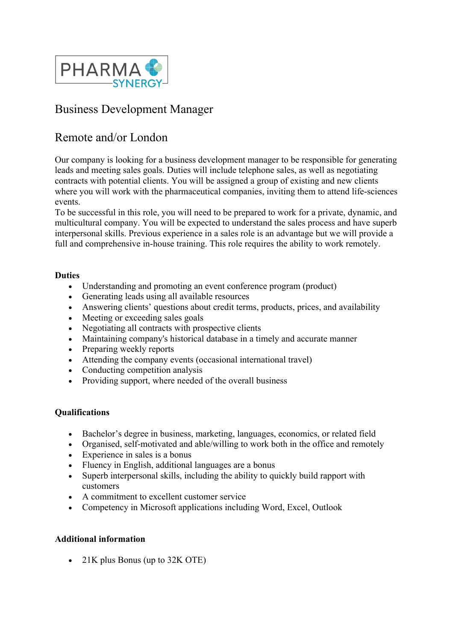

# Business Development Manager

## Remote and/or London

Our company is looking for a business development manager to be responsible for generating leads and meeting sales goals. Duties will include telephone sales, as well as negotiating contracts with potential clients. You will be assigned a group of existing and new clients where you will work with the pharmaceutical companies, inviting them to attend life-sciences events.

To be successful in this role, you will need to be prepared to work for a private, dynamic, and multicultural company. You will be expected to understand the sales process and have superb interpersonal skills. Previous experience in a sales role is an advantage but we will provide a full and comprehensive in-house training. This role requires the ability to work remotely.

#### **Duties**

- Understanding and promoting an event conference program (product)
- Generating leads using all available resources
- Answering clients' questions about credit terms, products, prices, and availability
- Meeting or exceeding sales goals
- Negotiating all contracts with prospective clients
- Maintaining company's historical database in a timely and accurate manner
- Preparing weekly reports
- Attending the company events (occasional international travel)
- Conducting competition analysis
- Providing support, where needed of the overall business

#### **Qualifications**

- Bachelor's degree in business, marketing, languages, economics, or related field
- Organised, self-motivated and able/willing to work both in the office and remotely
- Experience in sales is a bonus
- Fluency in English, additional languages are a bonus
- Superb interpersonal skills, including the ability to quickly build rapport with customers
- A commitment to excellent customer service
- Competency in Microsoft applications including Word, Excel, Outlook

### **Additional information**

• 21K plus Bonus (up to 32K OTE)